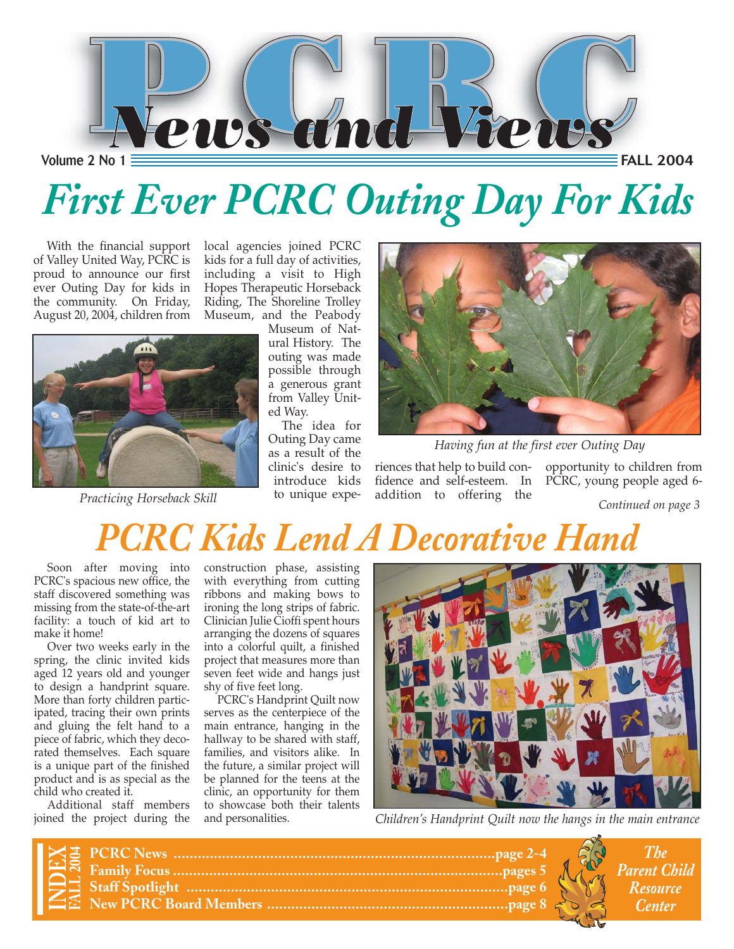

# *First Ever PCRC Outing Day For Kids*

With the financial support of Valley United Way, PCRC is proud to announce our first ever Outing Day for kids in the community. On Friday, August 20, 2004, children from

local agencies joined PCRC kids for a full day of activities, including a visit to High Hopes Therapeutic Horseback Riding, The Shoreline Trolley Museum, and the Peabody



Museum of Natural History. The outing was made possible through a generous grant from Valley Unit-

ed Way. The idea for Outing Day came as a result of the clinic's desire to introduce kids to unique expe-



*Having fun at the first ever Outing Day*

riences that help to build con-opportunity to children from fidence and self-esteem. In PCRC, young people aged 6 addition to offering the *Practicing Horseback Skill Continued on page 3*

*The Parent Child Resource*

*Center*

### *C Kids Lend A Decorative Hand*

Soon after moving into PCRC's spacious new office, the staff discovered something was missing from the state-of-the-art facility: a touch of kid art to make it home!

Over two weeks early in the spring, the clinic invited kids aged 12 years old and younger to design a handprint square. More than forty children participated, tracing their own prints and gluing the felt hand to a piece of fabric, which they decorated themselves. Each square is a unique part of the finished product and is as special as the child who created it.

Additional staff members joined the project during the construction phase, assisting with everything from cutting ribbons and making bows to ironing the long strips of fabric. Clinician Julie Cioffi spent hours arranging the dozens of squares into a colorful quilt, a finished project that measures more than seven feet wide and hangs just shy of five feet long.

PCRC's Handprint Quilt now serves as the centerpiece of the main entrance, hanging in the hallway to be shared with staff, families, and visitors alike. In the future, a similar project will be planned for the teens at the clinic, an opportunity for them to showcase both their talents and personalities.



*Children's Handprint Quilt now the hangs in the main entrance*

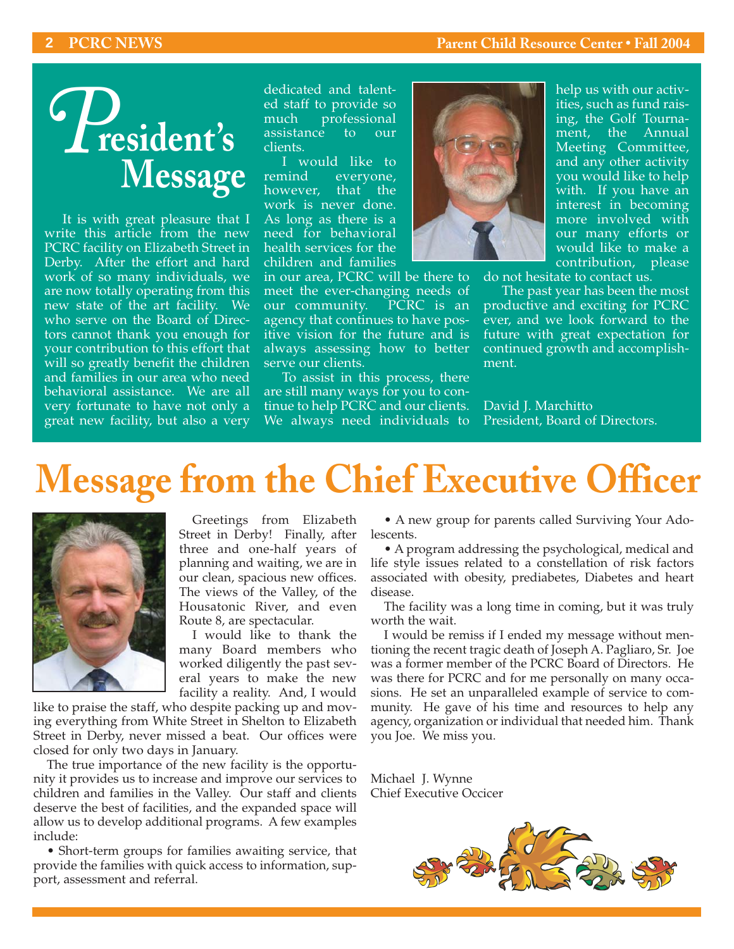#### **2 PCRC NEWS Parent Child Resource Center • Fall 2004**

# **resident's** *P* **Message**

It is with great pleasure that I write this article from the new PCRC facility on Elizabeth Street in Derby. After the effort and hard work of so many individuals, we are now totally operating from this new state of the art facility. We who serve on the Board of Directors cannot thank you enough for your contribution to this effort that will so greatly benefit the children and families in our area who need behavioral assistance. We are all very fortunate to have not only a great new facility, but also a very

dedicated and talented staff to provide so much professional assistance to our clients.

I would like to remind everyone, however, that the work is never done. As long as there is a need for behavioral health services for the children and families

in our area, PCRC will be there to meet the ever-changing needs of our community. PCRC is an agency that continues to have positive vision for the future and is always assessing how to better serve our clients.

To assist in this process, there are still many ways for you to continue to help PCRC and our clients. We always need individuals to



help us with our activities, such as fund raising, the Golf Tournament, the Annual Meeting Committee, and any other activity you would like to help with. If you have an interest in becoming more involved with our many efforts or would like to make a contribution, please

do not hesitate to contact us.

The past year has been the most productive and exciting for PCRC ever, and we look forward to the future with great expectation for continued growth and accomplishment.

David J. Marchitto President, Board of Directors.

# **Message from the Chief Executive Officer**



Greetings from Elizabeth Street in Derby! Finally, after three and one-half years of planning and waiting, we are in our clean, spacious new offices. The views of the Valley, of the Housatonic River, and even Route 8, are spectacular.

I would like to thank the many Board members who worked diligently the past several years to make the new facility a reality. And, I would

like to praise the staff, who despite packing up and moving everything from White Street in Shelton to Elizabeth Street in Derby, never missed a beat. Our offices were closed for only two days in January.

The true importance of the new facility is the opportunity it provides us to increase and improve our services to children and families in the Valley. Our staff and clients deserve the best of facilities, and the expanded space will allow us to develop additional programs. A few examples include:

• Short-term groups for families awaiting service, that provide the families with quick access to information, support, assessment and referral.

• A new group for parents called Surviving Your Adolescents.

• A program addressing the psychological, medical and life style issues related to a constellation of risk factors associated with obesity, prediabetes, Diabetes and heart disease.

The facility was a long time in coming, but it was truly worth the wait.

I would be remiss if I ended my message without mentioning the recent tragic death of Joseph A. Pagliaro, Sr. Joe was a former member of the PCRC Board of Directors. He was there for PCRC and for me personally on many occasions. He set an unparalleled example of service to community. He gave of his time and resources to help any agency, organization or individual that needed him. Thank you Joe. We miss you.

Michael J. Wynne Chief Executive Occicer

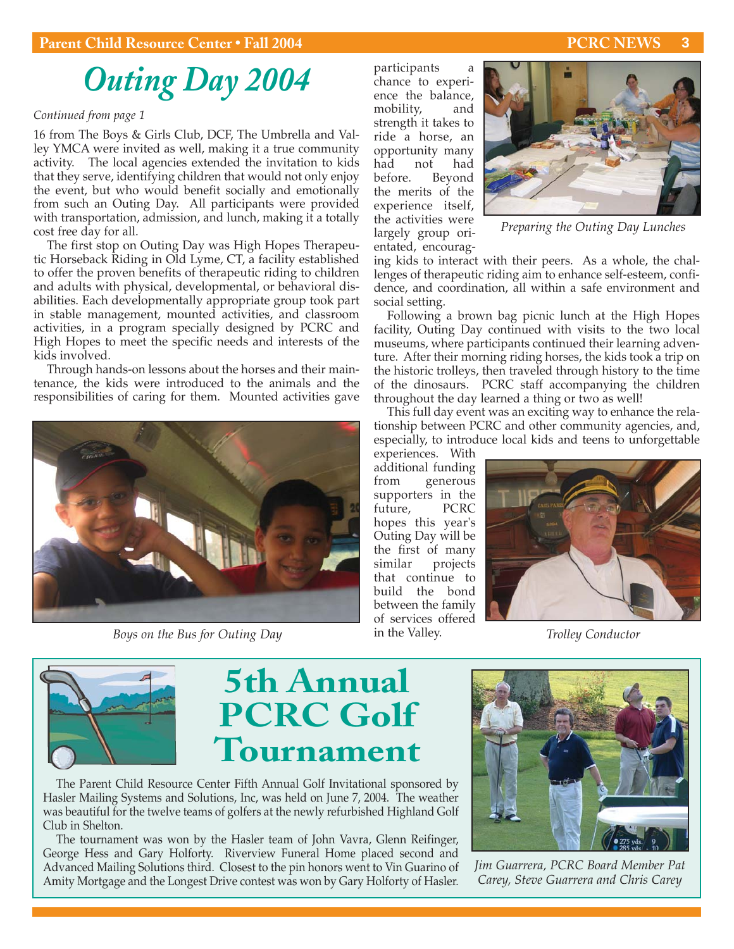#### **3**

### *Outing Day 2004*

#### *Continued from page 1*

16 from The Boys & Girls Club, DCF, The Umbrella and Valley YMCA were invited as well, making it a true community activity. The local agencies extended the invitation to kids that they serve, identifying children that would not only enjoy the event, but who would benefit socially and emotionally from such an Outing Day. All participants were provided with transportation, admission, and lunch, making it a totally cost free day for all.

The first stop on Outing Day was High Hopes Therapeutic Horseback Riding in Old Lyme, CT, a facility established to offer the proven benefits of therapeutic riding to children and adults with physical, developmental, or behavioral disabilities. Each developmentally appropriate group took part in stable management, mounted activities, and classroom activities, in a program specially designed by PCRC and High Hopes to meet the specific needs and interests of the kids involved.

Through hands-on lessons about the horses and their maintenance, the kids were introduced to the animals and the responsibilities of caring for them. Mounted activities gave



*Boys on the Bus for Outing Day* **The Valley Conduction** in the Valley. Trolley Conductor

participants a chance to experience the balance, mobility, and strength it takes to ride a horse, an opportunity many had not had before. Beyond the merits of the experience itself, the activities were largely group orientated, encourag-



*Preparing the Outing Day Lunches*

ing kids to interact with their peers. As a whole, the challenges of therapeutic riding aim to enhance self-esteem, confidence, and coordination, all within a safe environment and social setting.

Following a brown bag picnic lunch at the High Hopes facility, Outing Day continued with visits to the two local museums, where participants continued their learning adventure. After their morning riding horses, the kids took a trip on the historic trolleys, then traveled through history to the time of the dinosaurs. PCRC staff accompanying the children throughout the day learned a thing or two as well!

This full day event was an exciting way to enhance the relationship between PCRC and other community agencies, and, especially, to introduce local kids and teens to unforgettable

experiences. With additional funding from generous supporters in the future, PCRC hopes this year's Outing Day will be the first of many similar projects that continue to build the bond between the family of services offered in the Valley.





### **5th Annual PCRC Golf Tournament**

The Parent Child Resource Center Fifth Annual Golf Invitational sponsored by Hasler Mailing Systems and Solutions, Inc, was held on June 7, 2004. The weather was beautiful for the twelve teams of golfers at the newly refurbished Highland Golf Club in Shelton.

The tournament was won by the Hasler team of John Vavra, Glenn Reifinger, George Hess and Gary Holforty. Riverview Funeral Home placed second and Advanced Mailing Solutions third. Closest to the pin honors went to Vin Guarino of Amity Mortgage and the Longest Drive contest was won by Gary Holforty of Hasler.



*Jim Guarrera, PCRC Board Member Pat Carey, Steve Guarrera and Chris Carey*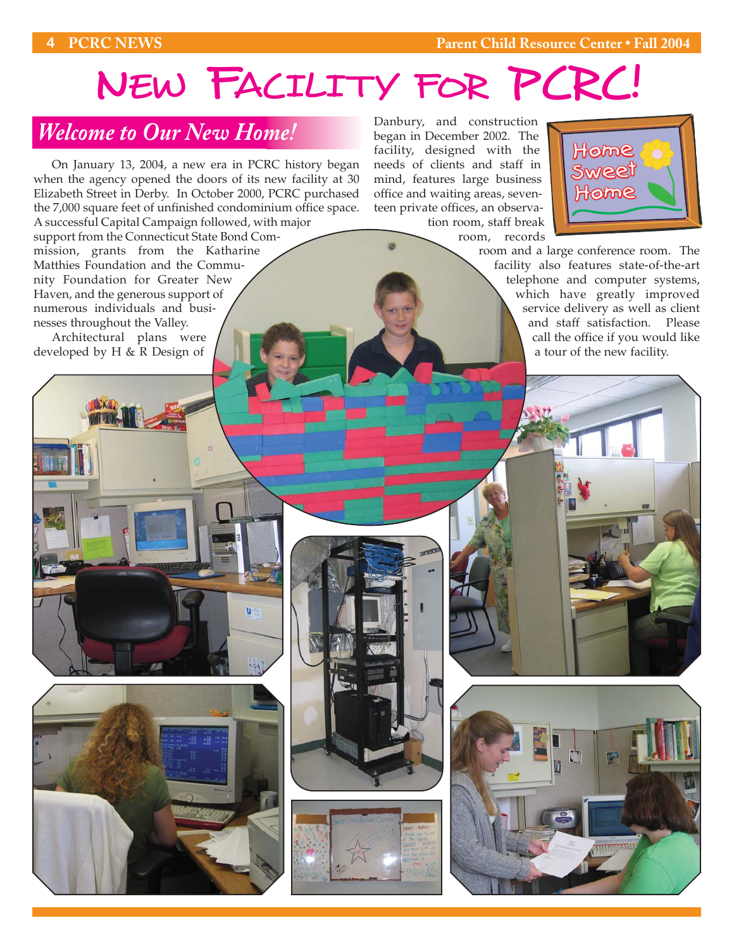# NEW FACILITY FOR PCRC!

### *Welcome to Our New Home!*

On January 13, 2004, a new era in PCRC history began when the agency opened the doors of its new facility at 30 Elizabeth Street in Derby. In October 2000, PCRC purchased the 7,000 square feet of unfinished condominium office space. A successful Capital Campaign followed, with major

support from the Connecticut State Bond Commission, grants from the Katharine Matthies Foundation and the Community Foundation for Greater New Haven, and the generous support of numerous individuals and businesses throughout the Valley.

Architectural plans were developed by H & R Design of

Danbury, and construction began in December 2002. The facility, designed with the needs of clients and staff in mind, features large business office and waiting areas, seventeen private offices, an observation room, staff break



room and a large conference room. The facility also features state-of-the-art telephone and computer systems, which have greatly improved service delivery as well as client and staff satisfaction. Please call the office if you would like a tour of the new facility.

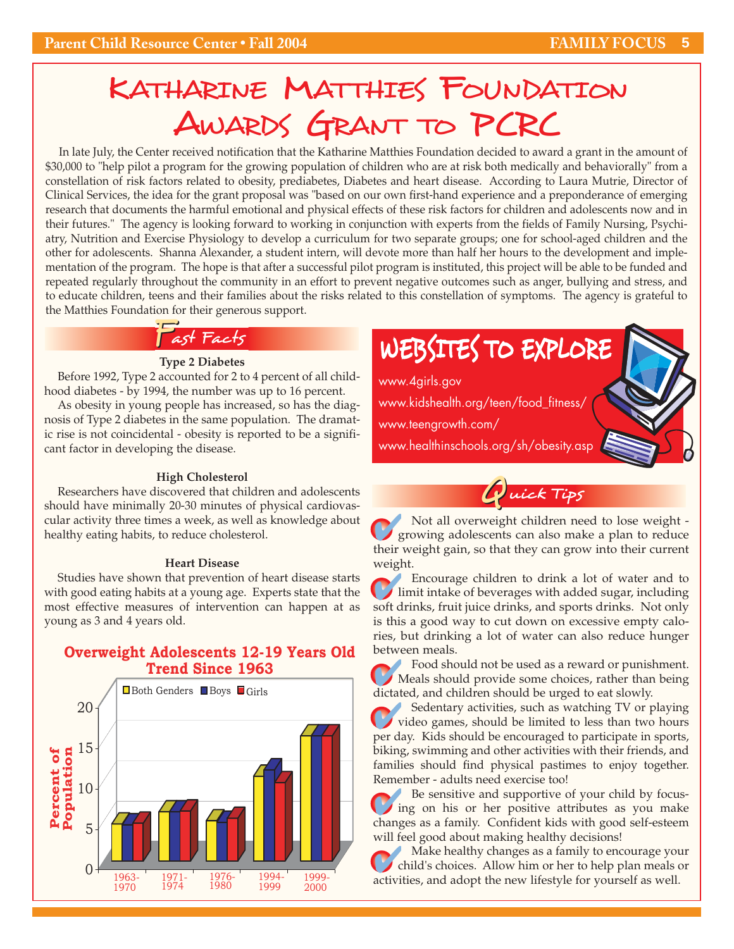### KATHARINE MATTHIES FOUNDATION AWARDS GRANT TO PCRC

In late July, the Center received notification that the Katharine Matthies Foundation decided to award a grant in the amount of \$30,000 to "help pilot a program for the growing population of children who are at risk both medically and behaviorally" from a constellation of risk factors related to obesity, prediabetes, Diabetes and heart disease. According to Laura Mutrie, Director of Clinical Services, the idea for the grant proposal was "based on our own first-hand experience and a preponderance of emerging research that documents the harmful emotional and physical effects of these risk factors for children and adolescents now and in their futures." The agency is looking forward to working in conjunction with experts from the fields of Family Nursing, Psychiatry, Nutrition and Exercise Physiology to develop a curriculum for two separate groups; one for school-aged children and the other for adolescents. Shanna Alexander, a student intern, will devote more than half her hours to the development and implementation of the program. The hope is that after a successful pilot program is instituted, this project will be able to be funded and repeated regularly throughout the community in an effort to prevent negative outcomes such as anger, bullying and stress, and to educate children, teens and their families about the risks related to this constellation of symptoms. The agency is grateful to the Matthies Foundation for their generous support.

#### Fast Facts

#### **Type 2 Diabetes**

Before 1992, Type 2 accounted for 2 to 4 percent of all childhood diabetes - by 1994, the number was up to 16 percent.

As obesity in young people has increased, so has the diagnosis of Type 2 diabetes in the same population. The dramatic rise is not coincidental - obesity is reported to be a significant factor in developing the disease.

#### **High Cholesterol**

Researchers have discovered that children and adolescents should have minimally 20-30 minutes of physical cardiovascular activity three times a week, as well as knowledge about healthy eating habits, to reduce cholesterol.

#### **Heart Disease**

Studies have shown that prevention of heart disease starts with good eating habits at a young age. Experts state that the most effective measures of intervention can happen at as young as 3 and 4 years old.

#### **Overweight Adolescents 12-19 Years Old Trend Since 1963**



### WEBSITES TO EXPLORE

www.4girls.gov www.kidshealth.org/teen/food\_fitness/ www.teengrowth.com/ www.healthinschools.org/sh/obesity.asp

> uick Tips  $\boldsymbol{\ell}$

Not all overweight children need to lose weight growing adolescents can also make a plan to reduce their weight gain, so that they can grow into their current weight.  $\mathcal{O}_\epsilon$ 

Encourage children to drink a lot of water and to Encourage children to drink a lot of water and to limit intake of beverages with added sugar, including soft drinks, fruit juice drinks, and sports drinks. Not only is this a good way to cut down on excessive empty calories, but drinking a lot of water can also reduce hunger between meals.

Food should not be used as a reward or punishment. Food should not be used as a reward or punishment.<br>
Meals should provide some choices, rather than being dictated, and children should be urged to eat slowly.

Sedentary activities, such as watching TV or playing Sedentary activities, such as watching TV or playing<br>video games, should be limited to less than two hours per day. Kids should be encouraged to participate in sports, biking, swimming and other activities with their friends, and families should find physical pastimes to enjoy together. Remember - adults need exercise too!

Be sensitive and supportive of your child by focusing on his or her positive attributes as you make changes as a family. Confident kids with good self-esteem will feel good about making healthy decisions!  $\mathcal{O}_i$ 

Make healthy changes as a family to encourage your child's choices. Allow him or her to help plan meals or Make healthy changes as a family to encourage you child's choices. Allow him or her to help plan meals activities, and adopt the new lifestyle for yourself as well.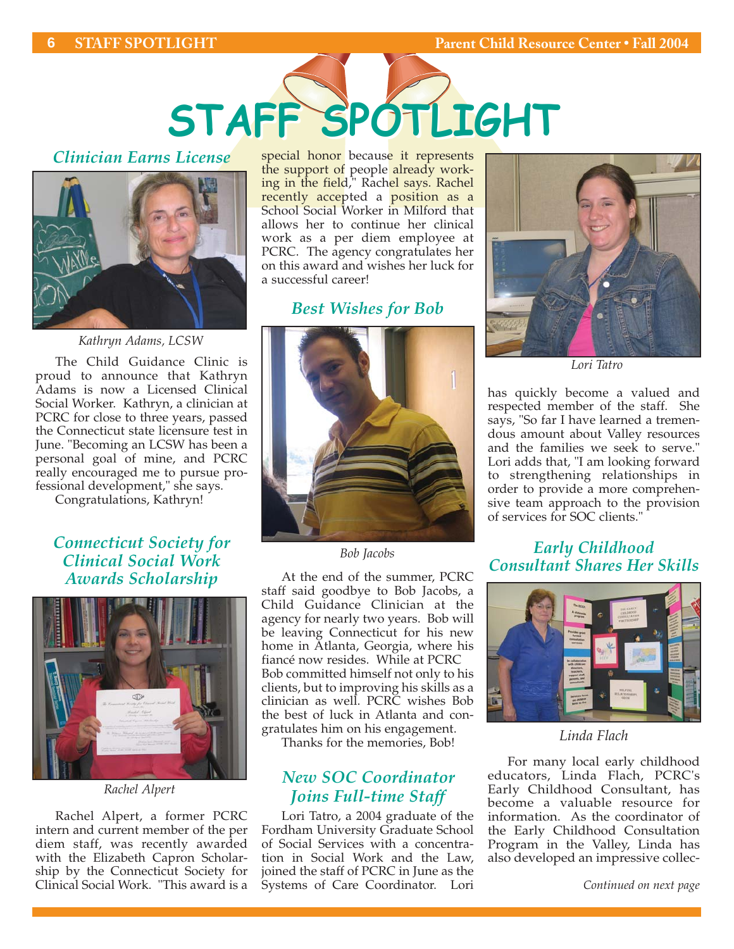

#### *Clinician Earns License*



*Kathryn Adams, LCSW*

The Child Guidance Clinic is proud to announce that Kathryn Adams is now a Licensed Clinical Social Worker. Kathryn, a clinician at PCRC for close to three years, passed the Connecticut state licensure test in June. "Becoming an LCSW has been a personal goal of mine, and PCRC really encouraged me to pursue professional development," she says.

Congratulations, Kathryn!

*Connecticut Society for Clinical Social Work Awards Scholarship*



*Rachel Alpert*

Rachel Alpert, a former PCRC intern and current member of the per diem staff, was recently awarded with the Elizabeth Capron Scholarship by the Connecticut Society for Clinical Social Work. "This award is a special honor because it represents the support of people already working in the field," Rach<mark>el says. Rachel</mark> recently accepted a position as a School Social Worker in Milford that allows her to continue her clinical work as a per diem employee at PCRC. The agency congratulates her on this award and wishes her luck for a successful career!

#### *Best Wishes for Bob*



*Bob Jacobs*

At the end of the summer, PCRC staff said goodbye to Bob Jacobs, a Child Guidance Clinician at the agency for nearly two years. Bob will be leaving Connecticut for his new home in Atlanta, Georgia, where his fiancé now resides. While at PCRC Bob committed himself not only to his clients, but to improving his skills as a clinician as well. PCRC wishes Bob the best of luck in Atlanta and congratulates him on his engagement.

Thanks for the memories, Bob!

#### *New SOC Coordinator Joins Full-time Staff*

Lori Tatro, a 2004 graduate of the Fordham University Graduate School of Social Services with a concentration in Social Work and the Law, joined the staff of PCRC in June as the Systems of Care Coordinator. Lori



*Lori Tatro*

has quickly become a valued and respected member of the staff. She says, "So far I have learned a tremendous amount about Valley resources and the families we seek to serve." Lori adds that, "I am looking forward to strengthening relationships in order to provide a more comprehensive team approach to the provision of services for SOC clients."

#### *Early Childhood Consultant Shares Her Skills*



*Linda Flach*

For many local early childhood educators, Linda Flach, PCRC's Early Childhood Consultant, has become a valuable resource for information. As the coordinator of the Early Childhood Consultation Program in the Valley, Linda has also developed an impressive collec-

*Continued on next page*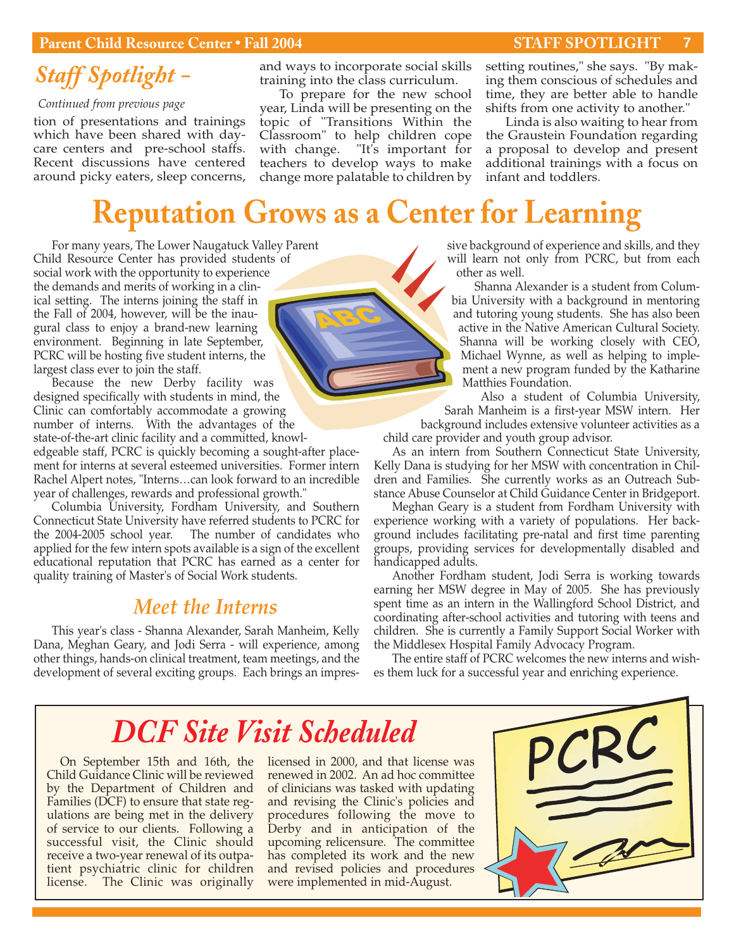#### **Parent Child Resource Center • Fall 2004 STAFF SPOTLIGHT**

**7**

### *Staff Spotlight -*

*Continued from previous page*

tion of presentations and trainings which have been shared with daycare centers and pre-school staffs. Recent discussions have centered around picky eaters, sleep concerns,

and ways to incorporate social skills training into the class curriculum.

To prepare for the new school year, Linda will be presenting on the topic of "Transitions Within the Classroom" to help children cope with change. "It's important for teachers to develop ways to make change more palatable to children by setting routines," she says. "By making them conscious of schedules and time, they are better able to handle shifts from one activity to another."

Linda is also waiting to hear from the Graustein Foundation regarding a proposal to develop and present additional trainings with a focus on infant and toddlers.

### **Reputation Grows as a Center for Learning**

For many years, The Lower Naugatuck Valley Parent Child Resource Center has provided students of social work with the opportunity to experience the demands and merits of working in a clinical setting. The interns joining the staff in the Fall of 2004, however, will be the inaugural class to enjoy a brand-new learning environment. Beginning in late September, PCRC will be hosting five student interns, the largest class ever to join the staff.

Because the new Derby facility was designed specifically with students in mind, the Clinic can comfortably accommodate a growing number of interns. With the advantages of the state-of-the-art clinic facility and a committed, knowledgeable staff, PCRC is quickly becoming a sought-after place-

ment for interns at several esteemed universities. Former intern Rachel Alpert notes, "Interns…can look forward to an incredible year of challenges, rewards and professional growth."

Columbia University, Fordham University, and Southern Connecticut State University have referred students to PCRC for the 2004-2005 school year. The number of candidates who applied for the few intern spots available is a sign of the excellent educational reputation that PCRC has earned as a center for quality training of Master's of Social Work students.

#### *Meet the Interns*

This year's class - Shanna Alexander, Sarah Manheim, Kelly Dana, Meghan Geary, and Jodi Serra - will experience, among other things, hands-on clinical treatment, team meetings, and the development of several exciting groups. Each brings an impressive background of experience and skills, and they will learn not only from PCRC, but from each other as well.

Shanna Alexander is a student from Columbia University with a background in mentoring and tutoring young students. She has also been active in the Native American Cultural Society. Shanna will be working closely with CEO, Michael Wynne, as well as helping to implement a new program funded by the Katharine Matthies Foundation.

Also a student of Columbia University,

Sarah Manheim is a first-year MSW intern. Her background includes extensive volunteer activities as a child care provider and youth group advisor.

As an intern from Southern Connecticut State University, Kelly Dana is studying for her MSW with concentration in Children and Families. She currently works as an Outreach Substance Abuse Counselor at Child Guidance Center in Bridgeport.

Meghan Geary is a student from Fordham University with experience working with a variety of populations. Her background includes facilitating pre-natal and first time parenting groups, providing services for developmentally disabled and handicapped adults.

Another Fordham student, Jodi Serra is working towards earning her MSW degree in May of 2005. She has previously spent time as an intern in the Wallingford School District, and coordinating after-school activities and tutoring with teens and children. She is currently a Family Support Social Worker with the Middlesex Hospital Family Advocacy Program.

The entire staff of PCRC welcomes the new interns and wishes them luck for a successful year and enriching experience.

### *DCF Site Visit Scheduled*

On September 15th and 16th, the Child Guidance Clinic will be reviewed by the Department of Children and Families (DCF) to ensure that state regulations are being met in the delivery of service to our clients. Following a successful visit, the Clinic should receive a two-year renewal of its outpatient psychiatric clinic for children license. The Clinic was originally licensed in 2000, and that license was renewed in 2002. An ad hoc committee of clinicians was tasked with updating and revising the Clinic's policies and procedures following the move to Derby and in anticipation of the upcoming relicensure. The committee has completed its work and the new and revised policies and procedures were implemented in mid-August.